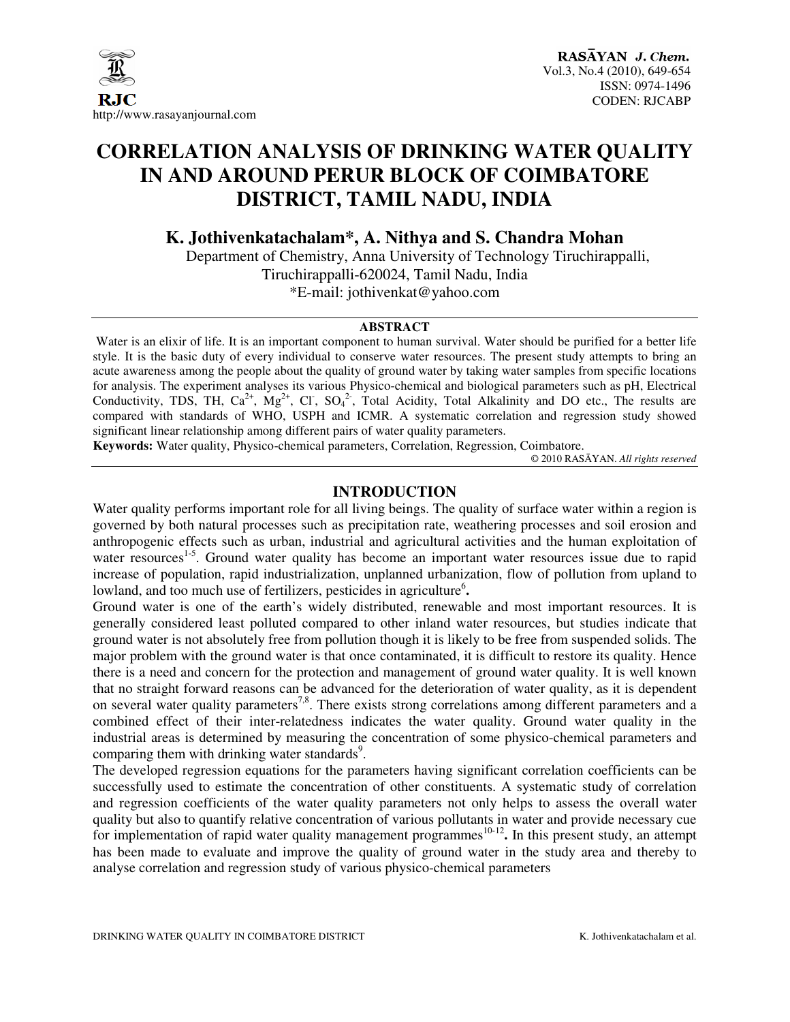

# **CORRELATION ANALYSIS OF DRINKING WATER QUALITY IN AND AROUND PERUR BLOCK OF COIMBATORE DISTRICT, TAMIL NADU, INDIA**

**K. Jothivenkatachalam\*, A. Nithya and S. Chandra Mohan** 

Department of Chemistry, Anna University of Technology Tiruchirappalli, Tiruchirappalli-620024, Tamil Nadu, India \*E-mail: jothivenkat@yahoo.com

## **ABSTRACT**

Water is an elixir of life. It is an important component to human survival. Water should be purified for a better life style. It is the basic duty of every individual to conserve water resources. The present study attempts to bring an acute awareness among the people about the quality of ground water by taking water samples from specific locations for analysis. The experiment analyses its various Physico-chemical and biological parameters such as pH, Electrical Conductivity, TDS, TH,  $Ca^{2+}$ ,  $Mg^{2+}$ , Cl,  $SO_4^{2-}$ , Total Acidity, Total Alkalinity and DO etc., The results are compared with standards of WHO, USPH and ICMR. A systematic correlation and regression study showed significant linear relationship among different pairs of water quality parameters.

**Keywords:** Water quality, Physico-chemical parameters, Correlation, Regression, Coimbatore.

© 2010 RASĀYAN. *All rights reserved*

## **INTRODUCTION**

Water quality performs important role for all living beings. The quality of surface water within a region is governed by both natural processes such as precipitation rate, weathering processes and soil erosion and anthropogenic effects such as urban, industrial and agricultural activities and the human exploitation of water resources<sup>1-5</sup>. Ground water quality has become an important water resources issue due to rapid increase of population, rapid industrialization, unplanned urbanization, flow of pollution from upland to lowland, and too much use of fertilizers, pesticides in agriculture<sup>6</sup>.

Ground water is one of the earth's widely distributed, renewable and most important resources. It is generally considered least polluted compared to other inland water resources, but studies indicate that ground water is not absolutely free from pollution though it is likely to be free from suspended solids. The major problem with the ground water is that once contaminated, it is difficult to restore its quality. Hence there is a need and concern for the protection and management of ground water quality. It is well known that no straight forward reasons can be advanced for the deterioration of water quality, as it is dependent on several water quality parameters<sup>7,8</sup>. There exists strong correlations among different parameters and a combined effect of their inter-relatedness indicates the water quality. Ground water quality in the industrial areas is determined by measuring the concentration of some physico-chemical parameters and comparing them with drinking water standards<sup>9</sup>.

The developed regression equations for the parameters having significant correlation coefficients can be successfully used to estimate the concentration of other constituents. A systematic study of correlation and regression coefficients of the water quality parameters not only helps to assess the overall water quality but also to quantify relative concentration of various pollutants in water and provide necessary cue for implementation of rapid water quality management programmes<sup>10-12</sup>. In this present study, an attempt has been made to evaluate and improve the quality of ground water in the study area and thereby to analyse correlation and regression study of various physico-chemical parameters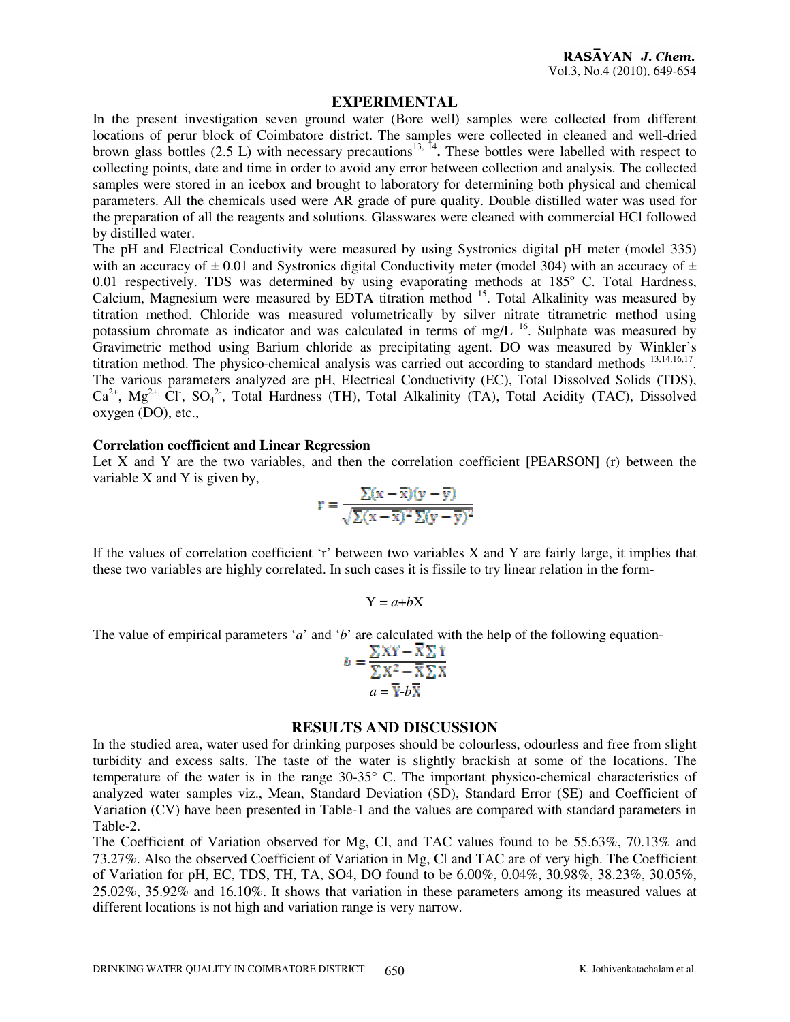### **EXPERIMENTAL**

In the present investigation seven ground water (Bore well) samples were collected from different locations of perur block of Coimbatore district. The samples were collected in cleaned and well-dried brown glass bottles  $(2.5 \text{ L})$  with necessary precautions<sup>13, 14</sup>. These bottles were labelled with respect to collecting points, date and time in order to avoid any error between collection and analysis. The collected samples were stored in an icebox and brought to laboratory for determining both physical and chemical parameters. All the chemicals used were AR grade of pure quality. Double distilled water was used for the preparation of all the reagents and solutions. Glasswares were cleaned with commercial HCl followed by distilled water.

The pH and Electrical Conductivity were measured by using Systronics digital pH meter (model 335) with an accuracy of  $\pm$  0.01 and Systronics digital Conductivity meter (model 304) with an accuracy of  $\pm$  $0.01$  respectively. TDS was determined by using evaporating methods at  $185^\circ$  C. Total Hardness, Calcium, Magnesium were measured by EDTA titration method <sup>15</sup>. Total Alkalinity was measured by titration method. Chloride was measured volumetrically by silver nitrate titrametric method using potassium chromate as indicator and was calculated in terms of mg/L <sup>16</sup>. Sulphate was measured by Gravimetric method using Barium chloride as precipitating agent. DO was measured by Winkler's titration method. The physico-chemical analysis was carried out according to standard methods <sup>13,14,16,17</sup>. The various parameters analyzed are pH, Electrical Conductivity (EC), Total Dissolved Solids (TDS),  $Ca^{2+}$ , Mg<sup>2+,</sup> Cl<sup>-</sup>, SO<sub>4</sub><sup>2</sup>, Total Hardness (TH), Total Alkalinity (TA), Total Acidity (TAC), Dissolved oxygen (DO), etc.,

#### **Correlation coefficient and Linear Regression**

Let X and Y are the two variables, and then the correlation coefficient [PEARSON] (r) between the variable X and Y is given by,

$$
r = \frac{\sum (x - \overline{x})(y - \overline{y})}{\sqrt{\sum (x - \overline{x})^2 \sum (y - \overline{y})^2}}
$$

If the values of correlation coefficient 'r' between two variables X and Y are fairly large, it implies that these two variables are highly correlated. In such cases it is fissile to try linear relation in the form-

$$
\mathrm{Y}=a{+}b\mathrm{X}
$$

The value of empirical parameters '*a*' and '*b*' are calculated with the help of the following equation-

$$
b = \frac{\sum XY - X\sum Y}{\sum X^2 - \overline{X}\sum X}
$$

$$
a = \overline{Y} \cdot b\overline{X}
$$

#### **RESULTS AND DISCUSSION**

In the studied area, water used for drinking purposes should be colourless, odourless and free from slight turbidity and excess salts. The taste of the water is slightly brackish at some of the locations. The temperature of the water is in the range 30-35° C. The important physico-chemical characteristics of analyzed water samples viz., Mean, Standard Deviation (SD), Standard Error (SE) and Coefficient of Variation (CV) have been presented in Table-1 and the values are compared with standard parameters in Table-2.

The Coefficient of Variation observed for Mg, Cl, and TAC values found to be 55.63%, 70.13% and 73.27%. Also the observed Coefficient of Variation in Mg, Cl and TAC are of very high. The Coefficient of Variation for pH, EC, TDS, TH, TA, SO4, DO found to be 6.00%, 0.04%, 30.98%, 38.23%, 30.05%, 25.02%, 35.92% and 16.10%. It shows that variation in these parameters among its measured values at different locations is not high and variation range is very narrow.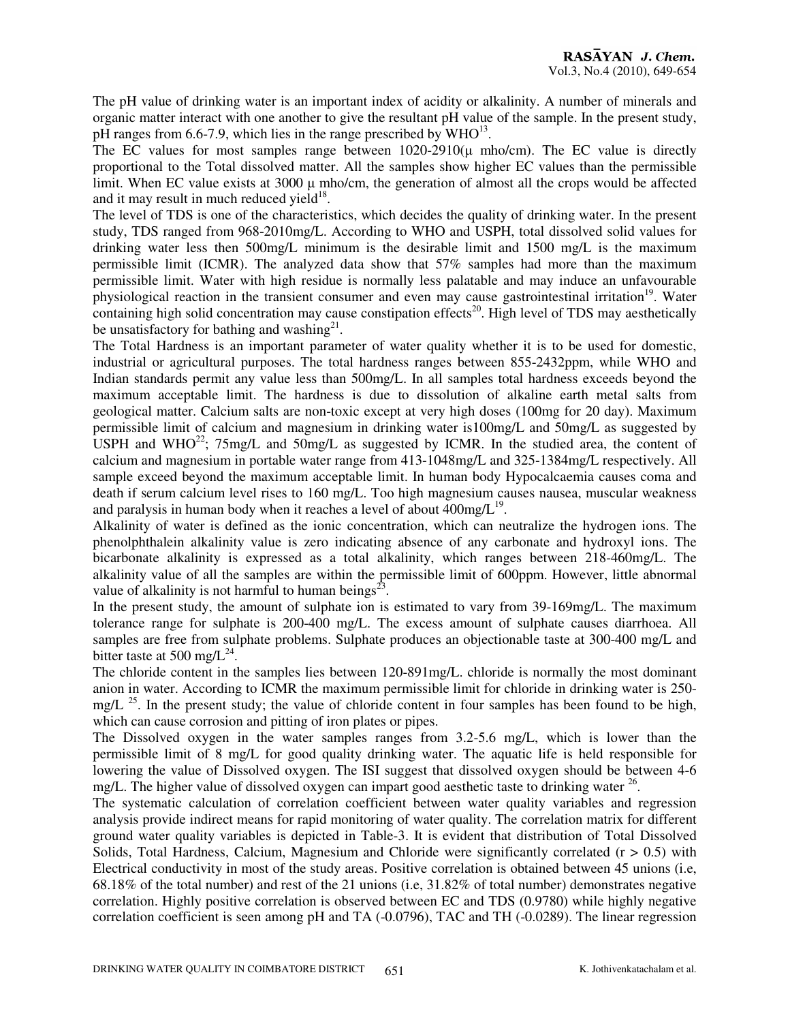The pH value of drinking water is an important index of acidity or alkalinity. A number of minerals and organic matter interact with one another to give the resultant pH value of the sample. In the present study, pH ranges from 6.6-7.9, which lies in the range prescribed by  $WHO^{13}$ .

The EC values for most samples range between  $1020-2910(\mu \text{ mho/cm})$ . The EC value is directly proportional to the Total dissolved matter. All the samples show higher EC values than the permissible limit. When EC value exists at 3000  $\mu$  mho/cm, the generation of almost all the crops would be affected and it may result in much reduced yield $18$ .

The level of TDS is one of the characteristics, which decides the quality of drinking water. In the present study, TDS ranged from 968-2010mg/L. According to WHO and USPH, total dissolved solid values for drinking water less then 500mg/L minimum is the desirable limit and 1500 mg/L is the maximum permissible limit (ICMR). The analyzed data show that 57% samples had more than the maximum permissible limit. Water with high residue is normally less palatable and may induce an unfavourable physiological reaction in the transient consumer and even may cause gastrointestinal irritation<sup>19</sup>. Water containing high solid concentration may cause constipation effects<sup>20</sup>. High level of TDS may aesthetically be unsatisfactory for bathing and washing $2<sup>1</sup>$ .

The Total Hardness is an important parameter of water quality whether it is to be used for domestic, industrial or agricultural purposes. The total hardness ranges between 855-2432ppm, while WHO and Indian standards permit any value less than 500mg/L. In all samples total hardness exceeds beyond the maximum acceptable limit. The hardness is due to dissolution of alkaline earth metal salts from geological matter. Calcium salts are non-toxic except at very high doses (100mg for 20 day). Maximum permissible limit of calcium and magnesium in drinking water is100mg/L and 50mg/L as suggested by USPH and WHO<sup>22</sup>; 75mg/L and 50mg/L as suggested by ICMR. In the studied area, the content of calcium and magnesium in portable water range from 413-1048mg/L and 325-1384mg/L respectively. All sample exceed beyond the maximum acceptable limit. In human body Hypocalcaemia causes coma and death if serum calcium level rises to 160 mg/L. Too high magnesium causes nausea, muscular weakness and paralysis in human body when it reaches a level of about  $400 \text{mg/L}^{19}$ .

Alkalinity of water is defined as the ionic concentration, which can neutralize the hydrogen ions. The phenolphthalein alkalinity value is zero indicating absence of any carbonate and hydroxyl ions. The bicarbonate alkalinity is expressed as a total alkalinity, which ranges between 218-460mg/L. The alkalinity value of all the samples are within the permissible limit of 600ppm. However, little abnormal value of alkalinity is not harmful to human beings $^{23}$ .

In the present study, the amount of sulphate ion is estimated to vary from 39-169mg/L. The maximum tolerance range for sulphate is 200-400 mg/L. The excess amount of sulphate causes diarrhoea. All samples are free from sulphate problems. Sulphate produces an objectionable taste at 300-400 mg/L and bitter taste at 500 mg/ $L^{24}$ .

The chloride content in the samples lies between 120-891mg/L. chloride is normally the most dominant anion in water. According to ICMR the maximum permissible limit for chloride in drinking water is 250  $me/L$ <sup>25</sup>. In the present study; the value of chloride content in four samples has been found to be high, which can cause corrosion and pitting of iron plates or pipes.

The Dissolved oxygen in the water samples ranges from 3.2-5.6 mg/L, which is lower than the permissible limit of 8 mg/L for good quality drinking water. The aquatic life is held responsible for lowering the value of Dissolved oxygen. The ISI suggest that dissolved oxygen should be between 4-6 mg/L. The higher value of dissolved oxygen can impart good aesthetic taste to drinking water <sup>26</sup>.

The systematic calculation of correlation coefficient between water quality variables and regression analysis provide indirect means for rapid monitoring of water quality. The correlation matrix for different ground water quality variables is depicted in Table-3. It is evident that distribution of Total Dissolved Solids, Total Hardness, Calcium, Magnesium and Chloride were significantly correlated  $(r > 0.5)$  with Electrical conductivity in most of the study areas. Positive correlation is obtained between 45 unions (i.e, 68.18% of the total number) and rest of the 21 unions (i.e, 31.82% of total number) demonstrates negative correlation. Highly positive correlation is observed between EC and TDS (0.9780) while highly negative correlation coefficient is seen among pH and TA (-0.0796), TAC and TH (-0.0289). The linear regression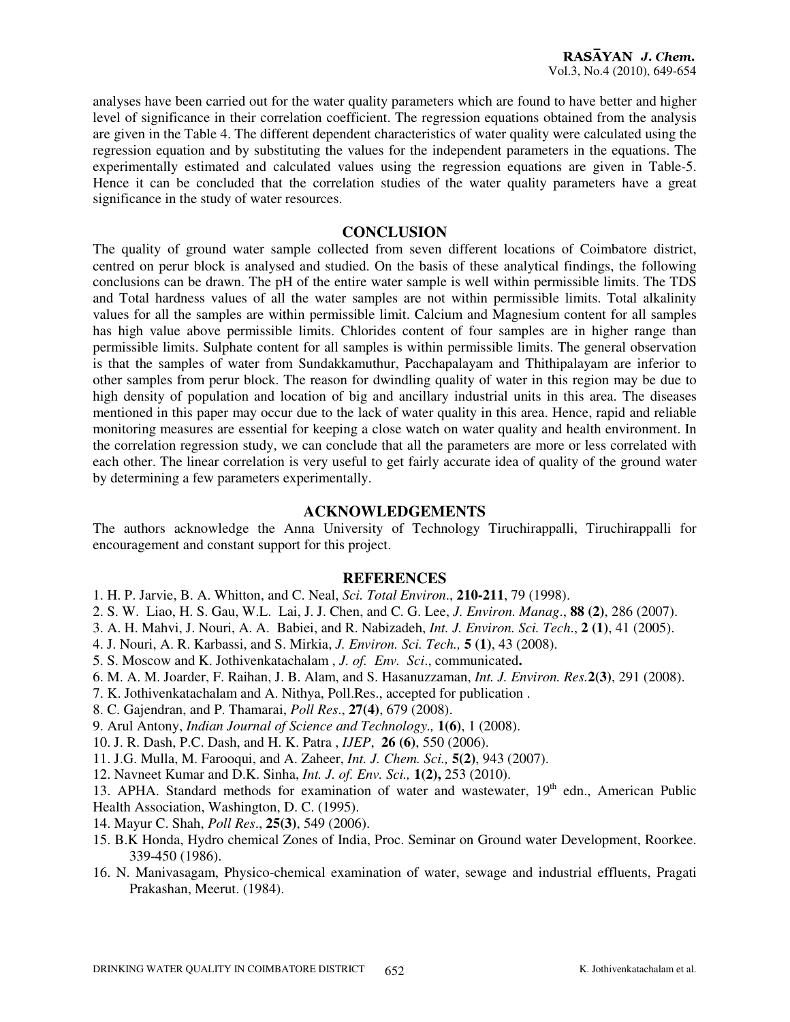analyses have been carried out for the water quality parameters which are found to have better and higher level of significance in their correlation coefficient. The regression equations obtained from the analysis are given in the Table 4. The different dependent characteristics of water quality were calculated using the regression equation and by substituting the values for the independent parameters in the equations. The experimentally estimated and calculated values using the regression equations are given in Table-5. Hence it can be concluded that the correlation studies of the water quality parameters have a great significance in the study of water resources.

## **CONCLUSION**

The quality of ground water sample collected from seven different locations of Coimbatore district, centred on perur block is analysed and studied. On the basis of these analytical findings, the following conclusions can be drawn. The pH of the entire water sample is well within permissible limits. The TDS and Total hardness values of all the water samples are not within permissible limits. Total alkalinity values for all the samples are within permissible limit. Calcium and Magnesium content for all samples has high value above permissible limits. Chlorides content of four samples are in higher range than permissible limits. Sulphate content for all samples is within permissible limits. The general observation is that the samples of water from Sundakkamuthur, Pacchapalayam and Thithipalayam are inferior to other samples from perur block. The reason for dwindling quality of water in this region may be due to high density of population and location of big and ancillary industrial units in this area. The diseases mentioned in this paper may occur due to the lack of water quality in this area. Hence, rapid and reliable monitoring measures are essential for keeping a close watch on water quality and health environment. In the correlation regression study, we can conclude that all the parameters are more or less correlated with each other. The linear correlation is very useful to get fairly accurate idea of quality of the ground water by determining a few parameters experimentally.

### **ACKNOWLEDGEMENTS**

The authors acknowledge the Anna University of Technology Tiruchirappalli, Tiruchirappalli for encouragement and constant support for this project.

#### **REFERENCES**

- 1. H. P. Jarvie, B. A. Whitton, and C. Neal, *Sci. Total Environ*., **210-211**, 79 (1998).
- 2. S. W. Liao, H. S. Gau, W.L. Lai, J. J. Chen, and C. G. Lee, *J. Environ. Manag*., **88 (2)**, 286 (2007).
- 3. A. H. Mahvi, J. Nouri, A. A. Babiei, and R. Nabizadeh, *Int. J. Environ. Sci. Tech*., **2 (1)**, 41 (2005).
- 4. J. Nouri, A. R. Karbassi, and S. Mirkia, *J. Environ. Sci. Tech.,* **5 (1)**, 43 (2008).
- 5. S. Moscow and K. Jothivenkatachalam , *J. of. Env. Sci*., communicated**.**
- 6. M. A. M. Joarder, F. Raihan, J. B. Alam, and S. Hasanuzzaman, *Int. J. Environ. Res.***2(3)**, 291 (2008).
- 7. K. Jothivenkatachalam and A. Nithya, Poll.Res., accepted for publication .
- 8. C. Gajendran, and P. Thamarai, *Poll Res*., **27(4)**, 679 (2008).
- 9. Arul Antony, *Indian Journal of Science and Technology.,* **1(6)**, 1 (2008).
- 10. J. R. Dash, P.C. Dash, and H. K. Patra , *IJEP*, **26 (6)**, 550 (2006).
- 11. J.G. Mulla, M. Farooqui, and A. Zaheer, *Int. J. Chem. Sci.,* **5(2)**, 943 (2007).
- 12. Navneet Kumar and D.K. Sinha, *Int. J. of. Env. Sci.,* **1(2),** 253 (2010).

13. APHA. Standard methods for examination of water and wastewater, 19<sup>th</sup> edn., American Public Health Association, Washington, D. C. (1995).

- 14. Mayur C. Shah, *Poll Res*., **25(3)**, 549 (2006).
- 15. B.K Honda, Hydro chemical Zones of India, Proc. Seminar on Ground water Development, Roorkee. 339-450 (1986).
- 16. N. Manivasagam, Physico-chemical examination of water, sewage and industrial effluents, Pragati Prakashan, Meerut. (1984).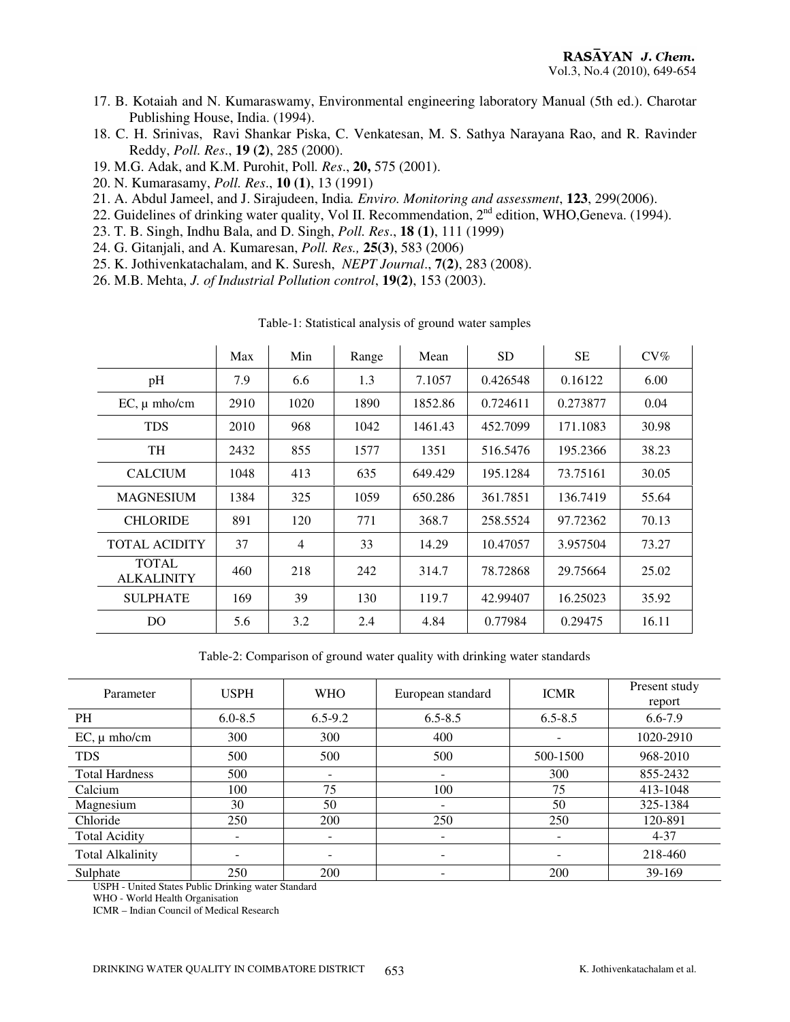- 17. B. Kotaiah and N. Kumaraswamy, Environmental engineering laboratory Manual (5th ed.). Charotar Publishing House, India. (1994).
- 18. C. H. Srinivas, Ravi Shankar Piska, C. Venkatesan, M. S. Sathya Narayana Rao, and R. Ravinder Reddy, *Poll. Res*., **19 (2)**, 285 (2000).
- 19. M.G. Adak, and K.M. Purohit, Poll*. Res*., **20,** 575 (2001).
- 20. N. Kumarasamy, *Poll. Res*., **10 (1)**, 13 (1991)
- 21. A. Abdul Jameel, and J. Sirajudeen, India*. Enviro. Monitoring and assessment*, **123**, 299(2006).
- 22. Guidelines of drinking water quality, Vol II. Recommendation, 2<sup>nd</sup> edition, WHO,Geneva. (1994).
- 23. T. B. Singh, Indhu Bala, and D. Singh, *Poll. Res*., **18 (1)**, 111 (1999)
- 24. G. Gitanjali, and A. Kumaresan, *Poll. Res.,* **25(3)**, 583 (2006)
- 25. K. Jothivenkatachalam, and K. Suresh, *NEPT Journal*., **7(2)**, 283 (2008).
- 26. M.B. Mehta, *J. of Industrial Pollution control*, **19(2)**, 153 (2003).

|                                   | Max  | Min            | Range | Mean    | <b>SD</b> | <b>SE</b> | $CV\%$ |
|-----------------------------------|------|----------------|-------|---------|-----------|-----------|--------|
| pH                                | 7.9  | 6.6            | 1.3   | 7.1057  | 0.426548  | 0.16122   | 6.00   |
| $EC, \mu$ mho/cm                  | 2910 | 1020           | 1890  | 1852.86 | 0.724611  | 0.273877  | 0.04   |
| <b>TDS</b>                        | 2010 | 968            | 1042  | 1461.43 | 452.7099  | 171.1083  | 30.98  |
| TH                                | 2432 | 855            | 1577  | 1351    | 516.5476  | 195.2366  | 38.23  |
| <b>CALCIUM</b>                    | 1048 | 413            | 635   | 649.429 | 195.1284  | 73.75161  | 30.05  |
| <b>MAGNESIUM</b>                  | 1384 | 325            | 1059  | 650.286 | 361.7851  | 136.7419  | 55.64  |
| <b>CHLORIDE</b>                   | 891  | 120            | 771   | 368.7   | 258.5524  | 97.72362  | 70.13  |
| <b>TOTAL ACIDITY</b>              | 37   | $\overline{4}$ | 33    | 14.29   | 10.47057  | 3.957504  | 73.27  |
| <b>TOTAL</b><br><b>ALKALINITY</b> | 460  | 218            | 242   | 314.7   | 78.72868  | 29.75664  | 25.02  |
| <b>SULPHATE</b>                   | 169  | 39             | 130   | 119.7   | 42.99407  | 16.25023  | 35.92  |
| D <sub>O</sub>                    | 5.6  | 3.2            | 2.4   | 4.84    | 0.77984   | 0.29475   | 16.11  |

Table-1: Statistical analysis of ground water samples

Table-2: Comparison of ground water quality with drinking water standards

| Parameter               | <b>USPH</b>                  | <b>WHO</b>  | <b>ICMR</b><br>European standard |             | Present study<br>report |
|-------------------------|------------------------------|-------------|----------------------------------|-------------|-------------------------|
| <b>PH</b>               | $6.0 - 8.5$                  | $6.5 - 9.2$ | $6.5 - 8.5$                      | $6.5 - 8.5$ | 6.6-7.9                 |
| $EC, \mu$ mho/cm        | 300                          | 300         | 400                              |             | 1020-2910               |
| <b>TDS</b>              | 500                          | 500         | 500                              | 500-1500    | 968-2010                |
| <b>Total Hardness</b>   | 500                          |             |                                  | 300         | 855-2432                |
| Calcium                 | 100                          | 75          | 100                              | 75          | 413-1048                |
| Magnesium               | 30                           | 50          | -                                | 50          | 325-1384                |
| Chloride                | 250                          | 200         | 250                              | 250         | 120-891                 |
| <b>Total Acidity</b>    |                              |             |                                  |             | $4 - 37$                |
| <b>Total Alkalinity</b> | $\qquad \qquad \blacksquare$ |             | $\overline{\phantom{a}}$         | ۰           | 218-460                 |
| Sulphate                | 250                          | 200         |                                  | 200         | 39-169                  |

USPH - United States Public Drinking water Standard

WHO - World Health Organisation

ICMR – Indian Council of Medical Research